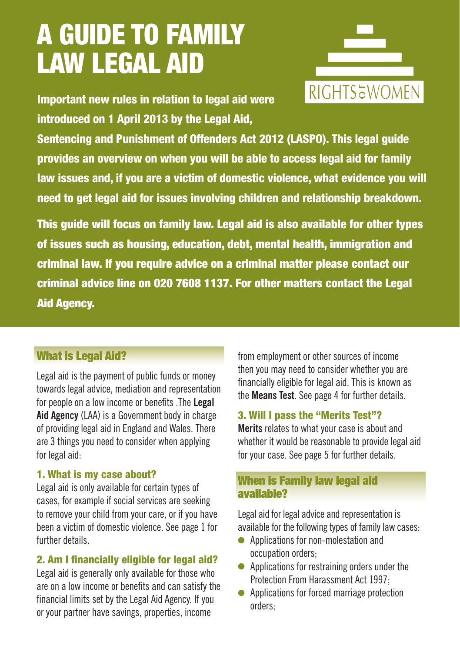# A GUIDE TO FAMILY LAW LEGAL AID

Important new rules in relation to legal aid were introduced on 1 April 2013 by the Legal Aid,



Sentencing and Punishment of Offenders Act 2012 (LASPO). This legal guide provides an overview on when you will be able to access legal aid for family law issues and, if you are a victim of domestic violence, what evidence you will need to get legal aid for issues involving children and relationship breakdown.

This guide will focus on family law. Legal aid is also available for other types of issues such as housing, education, debt, mental health, immigration and criminal law. If you require advice on a criminal matter please contact our criminal advice line on 020 7608 1137. For other matters contact the Legal **Aid Agency.** 

# What is Legal Aid?

Legal aid is the payment of public funds or money towards legal advice, mediation and representation for people on a low income or benefits .The **Legal**  Aid Agency (LAA) is a Government body in charge of providing legal aid in England and Wales. There are 3 things you need to consider when applying for legal aid:

#### 1. What is my case about?

Legal aid is only available for certain types of cases, for example if social services are seeking to remove your child from your care, or if you have been a victim of domestic violence. See page 1 for further details.

### 2. Am I financially eligible for legal aid?

Legal aid is generally only available for those who are on a low income or benefits and can satisfy the financial limits set by the Legal Aid Agency. If you or your partner have savings, properties, income

from employment or other sources of income then you may need to consider whether you are financially eligible for legal aid. This is known as the **Means Test**. See page 4 for further details.

#### 3. Will I pass the "Merits Test"?

**Merits** relates to what your case is about and whether it would be reasonable to provide legal aid for your case. See page 5 for further details.

#### When is Family law legal aid available?

Legal aid for legal advice and representation is available for the following types of family law cases:

- Applications for non-molestation and occupation orders;
- $\bullet$  Applications for restraining orders under the Protection From Harassment Act 1997;
- Applications for forced marriage protection orders;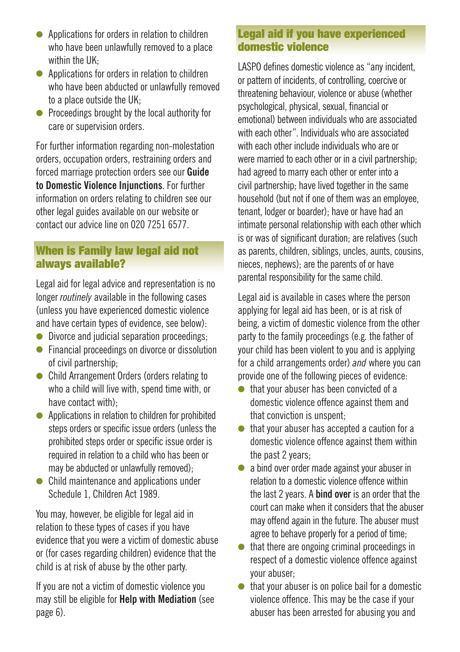- $\bullet$  Applications for orders in relation to children who have been unlawfully removed to a place within the UK;
- $\bullet$  Applications for orders in relation to children who have been abducted or unlawfully removed to a place outside the UK;
- **•** Proceedings brought by the local authority for care or supervision orders.

For further information regarding non-molestation orders, occupation orders, restraining orders and forced marriage protection orders see our **Guide to Domestic Violence Injunctions**. For further information on orders relating to children see our other legal guides available on our website or contact our advice line on 020 7251 6577.

## When is Family law legal aid not always available?

Legal aid for legal advice and representation is no longer *routinely* available in the following cases (unless you have experienced domestic violence and have certain types of evidence, see below):

- $\bullet$  Divorce and judicial separation proceedings;
- $\bullet$  Financial proceedings on divorce or dissolution of civil partnership;
- Child Arrangement Orders (orders relating to who a child will live with, spend time with, or have contact with).
- $\bullet$  Applications in relation to children for prohibited steps orders or specific issue orders (unless the prohibited steps order or specific issue order is required in relation to a child who has been or may be abducted or unlawfully removed);
- $\bullet$  Child maintenance and applications under Schedule 1, Children Act 1989.

You may, however, be eligible for legal aid in relation to these types of cases if you have evidence that you were a victim of domestic abuse or (for cases regarding children) evidence that the child is at risk of abuse by the other party.

If you are not a victim of domestic violence you may still be eligible for **Help with Mediation** (see page 6).

#### Legal aid if you have experienced domestic violence

LASPO defines domestic violence as "any incident, or pattern of incidents, of controlling, coercive or threatening behaviour, violence or abuse (whether psychological, physical, sexual, financial or emotional) between individuals who are associated with each other". Individuals who are associated with each other include individuals who are or were married to each other or in a civil partnership; had agreed to marry each other or enter into a civil partnership; have lived together in the same household (but not if one of them was an employee, tenant, lodger or boarder); have or have had an intimate personal relationship with each other which is or was of significant duration; are relatives (such as parents, children, siblings, uncles, aunts, cousins, nieces, nephews); are the parents of or have parental responsibility for the same child.

Legal aid is available in cases where the person applying for legal aid has been, or is at risk of being, a victim of domestic violence from the other party to the family proceedings (e.g. the father of your child has been violent to you and is applying for a child arrangements order) *and* where you can provide one of the following pieces of evidence:

- $\bullet$  that your abuser has been convicted of a domestic violence offence against them and that conviction is unspent;
- $\bullet$  that your abuser has accepted a caution for a domestic violence offence against them within the past 2 years;
- $\bullet$  a bind over order made against your abuser in relation to a domestic violence offence within the last 2 years. A **bind over** is an order that the court can make when it considers that the abuser may offend again in the future. The abuser must agree to behave properly for a period of time;
- $\bullet$  that there are ongoing criminal proceedings in respect of a domestic violence offence against your abuser;
- $\bullet$  that your abuser is on police bail for a domestic violence offence. This may be the case if your abuser has been arrested for abusing you and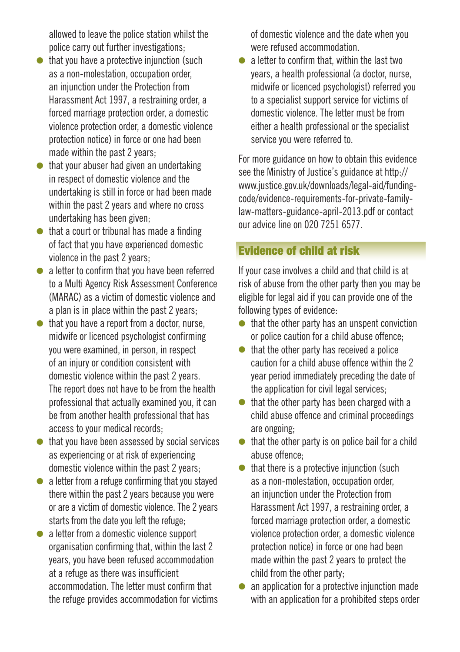allowed to leave the police station whilst the police carry out further investigations;

- $\bullet$  that you have a protective injunction (such as a non-molestation, occupation order, an injunction under the Protection from Harassment Act 1997, a restraining order, a forced marriage protection order, a domestic violence protection order, a domestic violence protection notice) in force or one had been made within the past 2 years;
- $\bullet$  that your abuser had given an undertaking in respect of domestic violence and the undertaking is still in force or had been made within the past 2 years and where no cross undertaking has been given;
- $\bullet$  that a court or tribunal has made a finding of fact that you have experienced domestic violence in the past 2 years;
- $\bullet$  a letter to confirm that you have been referred to a Multi Agency Risk Assessment Conference (MARAC) as a victim of domestic violence and a plan is in place within the past 2 years;
- $\bullet$  that you have a report from a doctor, nurse, midwife or licenced psychologist confirming you were examined, in person, in respect of an injury or condition consistent with domestic violence within the past 2 years. The report does not have to be from the health professional that actually examined you, it can be from another health professional that has access to your medical records;
- $\bullet$  that you have been assessed by social services as experiencing or at risk of experiencing domestic violence within the past 2 years;
- $\bullet$  a letter from a refuge confirming that you stayed there within the past 2 years because you were or are a victim of domestic violence. The 2 years starts from the date you left the refuge;
- $\bullet$  a letter from a domestic violence support organisation confirming that, within the last 2 years, you have been refused accommodation at a refuge as there was insufficient accommodation. The letter must confirm that the refuge provides accommodation for victims

of domestic violence and the date when you were refused accommodation.

 $\bullet$  a letter to confirm that, within the last two years, a health professional (a doctor, nurse, midwife or licenced psychologist) referred you to a specialist support service for victims of domestic violence. The letter must be from either a health professional or the specialist service you were referred to.

For more guidance on how to obtain this evidence see the Ministry of Justice's guidance at http:// www.justice.gov.uk/downloads/legal-aid/fundingcode/evidence-requirements-for-private-familylaw-matters-guidance-april-2013.pdf or contact our advice line on 020 7251 6577.

# Evidence of child at risk

If your case involves a child and that child is at risk of abuse from the other party then you may be eligible for legal aid if you can provide one of the following types of evidence:

- $\bullet$  that the other party has an unspent conviction or police caution for a child abuse offence;
- $\bullet$  that the other party has received a police caution for a child abuse offence within the 2 year period immediately preceding the date of the application for civil legal services;
- $\bullet$  that the other party has been charged with a child abuse offence and criminal proceedings are ongoing;
- $\bullet$  that the other party is on police bail for a child abuse offence;
- $\bullet$  that there is a protective injunction (such as a non-molestation, occupation order, an injunction under the Protection from Harassment Act 1997, a restraining order, a forced marriage protection order, a domestic violence protection order, a domestic violence protection notice) in force or one had been made within the past 2 years to protect the child from the other party;
- $\bullet$  an application for a protective injunction made with an application for a prohibited steps order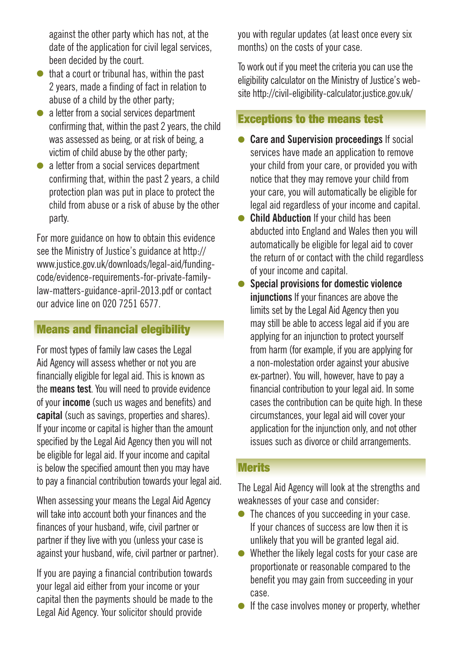against the other party which has not, at the date of the application for civil legal services, been decided by the court.

- $\bullet$  that a court or tribunal has, within the past 2 years, made a finding of fact in relation to abuse of a child by the other party;
- $\bullet$  a letter from a social services department confirming that, within the past 2 years, the child was assessed as being, or at risk of being, a victim of child abuse by the other party;
- $\bullet$  a letter from a social services department confirming that, within the past 2 years, a child protection plan was put in place to protect the child from abuse or a risk of abuse by the other party.

For more guidance on how to obtain this evidence see the Ministry of Justice's guidance at http:// www.justice.gov.uk/downloads/legal-aid/fundingcode/evidence-requirements-for-private-familylaw-matters-guidance-april-2013.pdf or contact our advice line on 020 7251 6577.

### Means and financial elegibility

For most types of family law cases the Legal Aid Agency will assess whether or not you are financially eligible for legal aid. This is known as the **means test**. You will need to provide evidence of your **income** (such us wages and benefits) and **capital** (such as savings, properties and shares). If your income or capital is higher than the amount specified by the Legal Aid Agency then you will not be eligible for legal aid. If your income and capital is below the specified amount then you may have to pay a financial contribution towards your legal aid.

When assessing your means the Legal Aid Agency will take into account both your finances and the finances of your husband, wife, civil partner or partner if they live with you (unless your case is against your husband, wife, civil partner or partner).

If you are paying a financial contribution towards your legal aid either from your income or your capital then the payments should be made to the Legal Aid Agency. Your solicitor should provide

you with regular updates (at least once every six months) on the costs of your case.

To work out if you meet the criteria you can use the eligibility calculator on the Ministry of Justice's website http://civil-eligibility-calculator.justice.gov.uk/

## Exceptions to the means test

- **Care and Supervision proceedings** If social services have made an application to remove your child from your care, or provided you with notice that they may remove your child from your care, you will automatically be eligible for legal aid regardless of your income and capital.
- **Child Abduction** If your child has been abducted into England and Wales then you will automatically be eligible for legal aid to cover the return of or contact with the child regardless of your income and capital.
- **•** Special provisions for domestic violence **injunctions** If your finances are above the limits set by the Legal Aid Agency then you may still be able to access legal aid if you are applying for an injunction to protect yourself from harm (for example, if you are applying for a non-molestation order against your abusive ex-partner). You will, however, have to pay a financial contribution to your legal aid. In some cases the contribution can be quite high. In these circumstances, your legal aid will cover your application for the injunction only, and not other issues such as divorce or child arrangements.

#### **Merits**

The Legal Aid Agency will look at the strengths and weaknesses of your case and consider:

- $\bullet$  The chances of you succeeding in your case. If your chances of success are low then it is unlikely that you will be granted legal aid.
- $\bullet$  Whether the likely legal costs for your case are proportionate or reasonable compared to the benefit you may gain from succeeding in your case.
- $\bullet$  If the case involves money or property, whether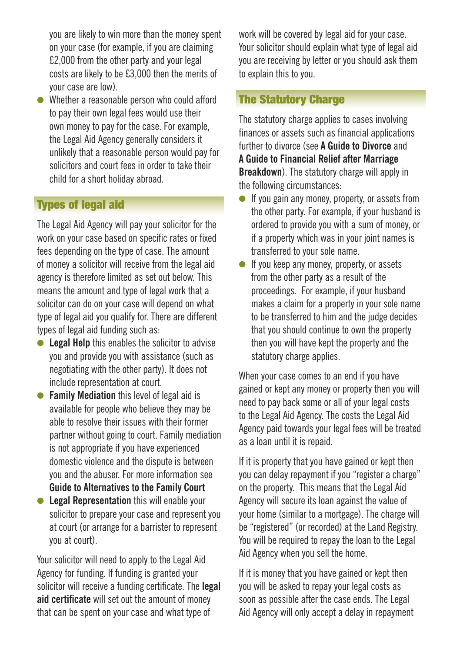you are likely to win more than the money spent on your case (for example, if you are claiming £2,000 from the other party and your legal costs are likely to be £3,000 then the merits of your case are low).

 $\bullet$  Whether a reasonable person who could afford to pay their own legal fees would use their own money to pay for the case. For example, the Legal Aid Agency generally considers it unlikely that a reasonable person would pay for solicitors and court fees in order to take their child for a short holiday abroad.

# **Types of legal aid**

The Legal Aid Agency will pay your solicitor for the work on your case based on specific rates or fixed fees depending on the type of case. The amount of money a solicitor will receive from the legal aid agency is therefore limited as set out below. This means the amount and type of legal work that a solicitor can do on your case will depend on what type of legal aid you qualify for. There are different types of legal aid funding such as:

- **Example 1** Legal Help this enables the solicitor to advise you and provide you with assistance (such as negotiating with the other party). It does not include representation at court.
- **Family Mediation** this level of legal aid is available for people who believe they may be able to resolve their issues with their former partner without going to court. Family mediation is not appropriate if you have experienced domestic violence and the dispute is between you and the abuser. For more information see **Guide to Alternatives to the Family Court**
- **Edgal Representation** this will enable your solicitor to prepare your case and represent you at court (or arrange for a barrister to represent you at court).

Your solicitor will need to apply to the Legal Aid Agency for funding. If funding is granted your solicitor will receive a funding certificate. The **legal aid certificate** will set out the amount of money that can be spent on your case and what type of

work will be covered by legal aid for your case. Your solicitor should explain what type of legal aid you are receiving by letter or you should ask them to explain this to you.

## The Statutory Charge

The statutory charge applies to cases involving finances or assets such as financial applications further to divorce (see **A Guide to Divorce** and **A Guide to Financial Relief after Marriage Breakdown**). The statutory charge will apply in the following circumstances:

- $\bullet$  If you gain any money, property, or assets from the other party. For example, if your husband is ordered to provide you with a sum of money, or if a property which was in your joint names is transferred to your sole name.
- $\bullet$  If you keep any money, property, or assets from the other party as a result of the proceedings. For example, if your husband makes a claim for a property in your sole name to be transferred to him and the judge decides that you should continue to own the property then you will have kept the property and the statutory charge applies.

When your case comes to an end if you have gained or kept any money or property then you will need to pay back some or all of your legal costs to the Legal Aid Agency. The costs the Legal Aid Agency paid towards your legal fees will be treated as a loan until it is repaid.

If it is property that you have gained or kept then you can delay repayment if you "register a charge" on the property. This means that the Legal Aid Agency will secure its loan against the value of your home (similar to a mortgage). The charge will be "registered" (or recorded) at the Land Registry. You will be required to repay the loan to the Legal Aid Agency when you sell the home.

If it is money that you have gained or kept then you will be asked to repay your legal costs as soon as possible after the case ends. The Legal Aid Agency will only accept a delay in repayment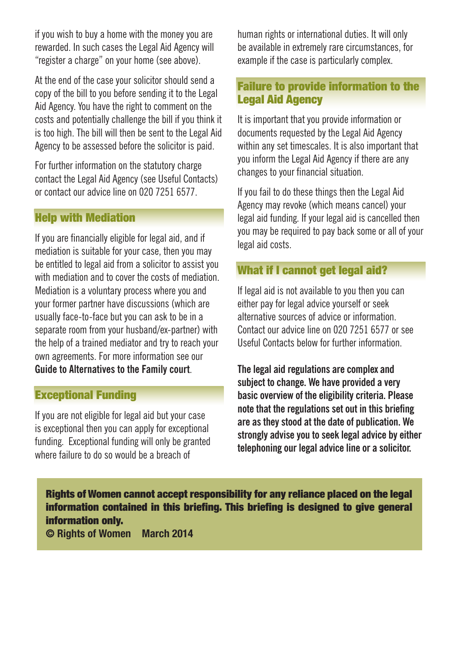if you wish to buy a home with the money you are rewarded. In such cases the Legal Aid Agency will "register a charge" on your home (see above).

At the end of the case your solicitor should send a copy of the bill to you before sending it to the Legal Aid Agency. You have the right to comment on the costs and potentially challenge the bill if you think it is too high. The bill will then be sent to the Legal Aid Agency to be assessed before the solicitor is paid.

For further information on the statutory charge contact the Legal Aid Agency (see Useful Contacts) or contact our advice line on 020 7251 6577.

#### Help with Mediation

If you are financially eligible for legal aid, and if mediation is suitable for your case, then you may be entitled to legal aid from a solicitor to assist you with mediation and to cover the costs of mediation. Mediation is a voluntary process where you and your former partner have discussions (which are usually face-to-face but you can ask to be in a separate room from your husband/ex-partner) with the help of a trained mediator and try to reach your own agreements. For more information see our **Guide to Alternatives to the Family court**.

# Exceptional Funding

If you are not eligible for legal aid but your case is exceptional then you can apply for exceptional funding. Exceptional funding will only be granted where failure to do so would be a breach of

human rights or international duties. It will only be available in extremely rare circumstances, for example if the case is particularly complex.

### Failure to provide information to the Legal Aid Agency

It is important that you provide information or documents requested by the Legal Aid Agency within any set timescales. It is also important that you inform the Legal Aid Agency if there are any changes to your financial situation.

If you fail to do these things then the Legal Aid Agency may revoke (which means cancel) your legal aid funding. If your legal aid is cancelled then you may be required to pay back some or all of your legal aid costs.

## What if I cannot get legal aid?

If legal aid is not available to you then you can either pay for legal advice yourself or seek alternative sources of advice or information. Contact our advice line on 020 7251 6577 or see Useful Contacts below for further information.

**The legal aid regulations are complex and subject to change. We have provided a very basic overview of the eligibility criteria. Please note that the regulations set out in this briefing are as they stood at the date of publication. We strongly advise you to seek legal advice by either telephoning our legal advice line or a solicitor.** 

Rights of Women cannot accept responsibility for any reliance placed on the legal information contained in this briefing. This briefing is designed to give general information only.

**© Rights of Women March 2014**